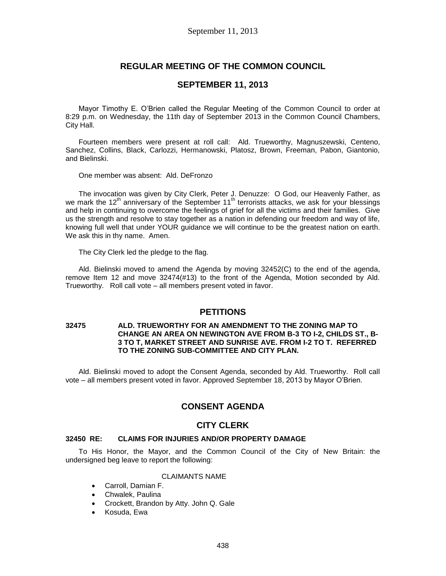# **REGULAR MEETING OF THE COMMON COUNCIL**

### **SEPTEMBER 11, 2013**

Mayor Timothy E. O'Brien called the Regular Meeting of the Common Council to order at 8:29 p.m. on Wednesday, the 11th day of September 2013 in the Common Council Chambers, City Hall.

Fourteen members were present at roll call: Ald. Trueworthy, Magnuszewski, Centeno, Sanchez, Collins, Black, Carlozzi, Hermanowski, Platosz, Brown, Freeman, Pabon, Giantonio, and Bielinski.

One member was absent: Ald. DeFronzo

The invocation was given by City Clerk, Peter J. Denuzze: O God, our Heavenly Father, as we mark the 12<sup>th</sup> anniversary of the September 11<sup>th</sup> terrorists attacks, we ask for your blessings and help in continuing to overcome the feelings of grief for all the victims and their families. Give us the strength and resolve to stay together as a nation in defending our freedom and way of life, knowing full well that under YOUR guidance we will continue to be the greatest nation on earth. We ask this in thy name. Amen.

The City Clerk led the pledge to the flag.

Ald. Bielinski moved to amend the Agenda by moving 32452(C) to the end of the agenda, remove Item 12 and move 32474(#13) to the front of the Agenda, Motion seconded by Ald. Trueworthy. Roll call vote – all members present voted in favor.

### **PETITIONS**

#### **32475 ALD. TRUEWORTHY FOR AN AMENDMENT TO THE ZONING MAP TO CHANGE AN AREA ON NEWINGTON AVE FROM B-3 TO I-2, CHILDS ST., B-3 TO T, MARKET STREET AND SUNRISE AVE. FROM I-2 TO T. REFERRED TO THE ZONING SUB-COMMITTEE AND CITY PLAN.**

Ald. Bielinski moved to adopt the Consent Agenda, seconded by Ald. Trueworthy. Roll call vote – all members present voted in favor. Approved September 18, 2013 by Mayor O'Brien.

# **CONSENT AGENDA**

## **CITY CLERK**

#### **32450 RE: CLAIMS FOR INJURIES AND/OR PROPERTY DAMAGE**

To His Honor, the Mayor, and the Common Council of the City of New Britain: the undersigned beg leave to report the following:

### CLAIMANTS NAME

- Carroll, Damian F.
- Chwalek, Paulina
- Crockett, Brandon by Atty. John Q. Gale
- Kosuda, Ewa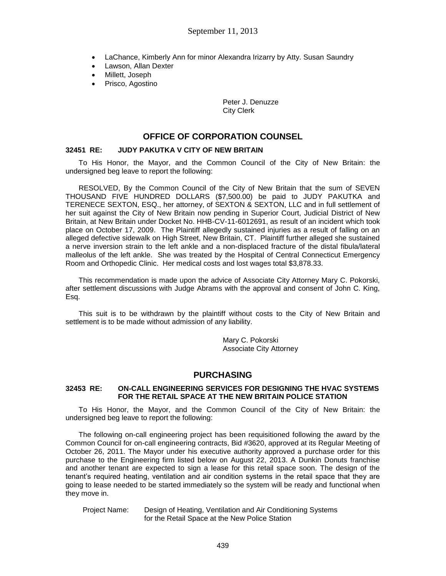- LaChance, Kimberly Ann for minor Alexandra Irizarry by Atty. Susan Saundry
- Lawson, Allan Dexter
- Millett, Joseph
- Prisco, Agostino

Peter J. Denuzze City Clerk

# **OFFICE OF CORPORATION COUNSEL**

#### **32451 RE: JUDY PAKUTKA V CITY OF NEW BRITAIN**

To His Honor, the Mayor, and the Common Council of the City of New Britain: the undersigned beg leave to report the following:

RESOLVED, By the Common Council of the City of New Britain that the sum of SEVEN THOUSAND FIVE HUNDRED DOLLARS (\$7,500.00) be paid to JUDY PAKUTKA and TERENECE SEXTON, ESQ., her attorney, of SEXTON & SEXTON, LLC and in full settlement of her suit against the City of New Britain now pending in Superior Court, Judicial District of New Britain, at New Britain under Docket No. HHB-CV-11-6012691, as result of an incident which took place on October 17, 2009. The Plaintiff allegedly sustained injuries as a result of falling on an alleged defective sidewalk on High Street, New Britain, CT. Plaintiff further alleged she sustained a nerve inversion strain to the left ankle and a non-displaced fracture of the distal fibula/lateral malleolus of the left ankle. She was treated by the Hospital of Central Connecticut Emergency Room and Orthopedic Clinic. Her medical costs and lost wages total \$3,878.33.

This recommendation is made upon the advice of Associate City Attorney Mary C. Pokorski, after settlement discussions with Judge Abrams with the approval and consent of John C. King, Esq.

This suit is to be withdrawn by the plaintiff without costs to the City of New Britain and settlement is to be made without admission of any liability.

> Mary C. Pokorski Associate City Attorney

## **PURCHASING**

### **32453 RE: ON-CALL ENGINEERING SERVICES FOR DESIGNING THE HVAC SYSTEMS FOR THE RETAIL SPACE AT THE NEW BRITAIN POLICE STATION**

To His Honor, the Mayor, and the Common Council of the City of New Britain: the undersigned beg leave to report the following:

The following on-call engineering project has been requisitioned following the award by the Common Council for on-call engineering contracts, Bid #3620, approved at its Regular Meeting of October 26, 2011. The Mayor under his executive authority approved a purchase order for this purchase to the Engineering firm listed below on August 22, 2013. A Dunkin Donuts franchise and another tenant are expected to sign a lease for this retail space soon. The design of the tenant's required heating, ventilation and air condition systems in the retail space that they are going to lease needed to be started immediately so the system will be ready and functional when they move in.

 Project Name: Design of Heating, Ventilation and Air Conditioning Systems for the Retail Space at the New Police Station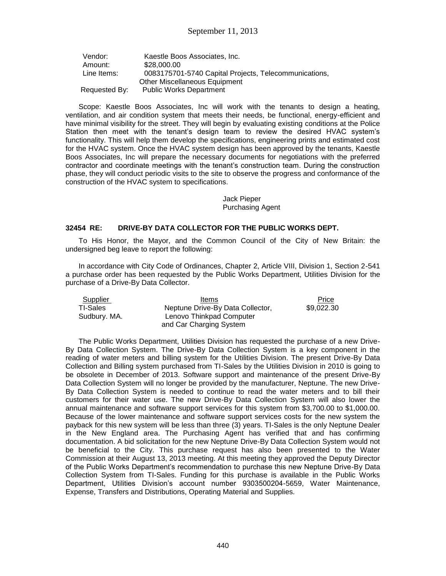| Vendor:       | Kaestle Boos Associates, Inc.                         |
|---------------|-------------------------------------------------------|
| Amount:       | \$28,000,00                                           |
| Line Items:   | 0083175701-5740 Capital Projects, Telecommunications, |
|               | <b>Other Miscellaneous Equipment</b>                  |
| Requested By: | <b>Public Works Department</b>                        |

Scope: Kaestle Boos Associates, Inc will work with the tenants to design a heating, ventilation, and air condition system that meets their needs, be functional, energy-efficient and have minimal visibility for the street. They will begin by evaluating existing conditions at the Police Station then meet with the tenant's design team to review the desired HVAC system's functionality. This will help them develop the specifications, engineering prints and estimated cost for the HVAC system. Once the HVAC system design has been approved by the tenants, Kaestle Boos Associates, Inc will prepare the necessary documents for negotiations with the preferred contractor and coordinate meetings with the tenant's construction team. During the construction phase, they will conduct periodic visits to the site to observe the progress and conformance of the construction of the HVAC system to specifications.

> Jack Pieper Purchasing Agent

### **32454 RE: DRIVE-BY DATA COLLECTOR FOR THE PUBLIC WORKS DEPT.**

To His Honor, the Mayor, and the Common Council of the City of New Britain: the undersigned beg leave to report the following:

In accordance with City Code of Ordinances, Chapter 2, Article VIII, Division 1, Section 2-541 a purchase order has been requested by the Public Works Department, Utilities Division for the purchase of a Drive-By Data Collector.

| Supplier        | Items                            | Price      |
|-----------------|----------------------------------|------------|
| <b>TI-Sales</b> | Neptune Drive-By Data Collector, | \$9,022.30 |
| Sudbury. MA.    | Lenovo Thinkpad Computer         |            |
|                 | and Car Charging System          |            |

The Public Works Department, Utilities Division has requested the purchase of a new Drive-By Data Collection System. The Drive-By Data Collection System is a key component in the reading of water meters and billing system for the Utilities Division. The present Drive-By Data Collection and Billing system purchased from TI-Sales by the Utilities Division in 2010 is going to be obsolete in December of 2013. Software support and maintenance of the present Drive-By Data Collection System will no longer be provided by the manufacturer, Neptune. The new Drive-By Data Collection System is needed to continue to read the water meters and to bill their customers for their water use. The new Drive-By Data Collection System will also lower the annual maintenance and software support services for this system from \$3,700.00 to \$1,000.00. Because of the lower maintenance and software support services costs for the new system the payback for this new system will be less than three (3) years. TI-Sales is the only Neptune Dealer in the New England area. The Purchasing Agent has verified that and has confirming documentation. A bid solicitation for the new Neptune Drive-By Data Collection System would not be beneficial to the City. This purchase request has also been presented to the Water Commission at their August 13, 2013 meeting. At this meeting they approved the Deputy Director of the Public Works Department's recommendation to purchase this new Neptune Drive-By Data Collection System from TI-Sales. Funding for this purchase is available in the Public Works Department, Utilities Division's account number 9303500204-5659, Water Maintenance, Expense, Transfers and Distributions, Operating Material and Supplies.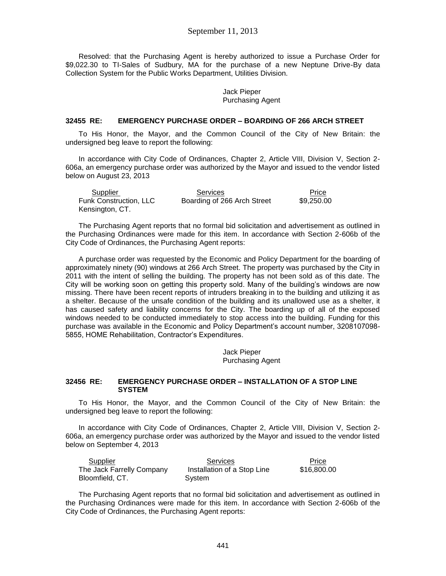Resolved: that the Purchasing Agent is hereby authorized to issue a Purchase Order for \$9,022.30 to TI-Sales of Sudbury, MA for the purchase of a new Neptune Drive-By data Collection System for the Public Works Department, Utilities Division.

#### Jack Pieper Purchasing Agent

### **32455 RE: EMERGENCY PURCHASE ORDER – BOARDING OF 266 ARCH STREET**

To His Honor, the Mayor, and the Common Council of the City of New Britain: the undersigned beg leave to report the following:

In accordance with City Code of Ordinances, Chapter 2, Article VIII, Division V, Section 2- 606a, an emergency purchase order was authorized by the Mayor and issued to the vendor listed below on August 23, 2013

| Supplier               | Services                    | Price      |
|------------------------|-----------------------------|------------|
| Funk Construction, LLC | Boarding of 266 Arch Street | \$9,250.00 |
| Kensington, CT.        |                             |            |

The Purchasing Agent reports that no formal bid solicitation and advertisement as outlined in the Purchasing Ordinances were made for this item. In accordance with Section 2-606b of the City Code of Ordinances, the Purchasing Agent reports:

A purchase order was requested by the Economic and Policy Department for the boarding of approximately ninety (90) windows at 266 Arch Street. The property was purchased by the City in 2011 with the intent of selling the building. The property has not been sold as of this date. The City will be working soon on getting this property sold. Many of the building's windows are now missing. There have been recent reports of intruders breaking in to the building and utilizing it as a shelter. Because of the unsafe condition of the building and its unallowed use as a shelter, it has caused safety and liability concerns for the City. The boarding up of all of the exposed windows needed to be conducted immediately to stop access into the building. Funding for this purchase was available in the Economic and Policy Department's account number, 3208107098- 5855, HOME Rehabilitation, Contractor's Expenditures.

> Jack Pieper Purchasing Agent

#### **32456 RE: EMERGENCY PURCHASE ORDER – INSTALLATION OF A STOP LINE SYSTEM**

To His Honor, the Mayor, and the Common Council of the City of New Britain: the undersigned beg leave to report the following:

In accordance with City Code of Ordinances, Chapter 2, Article VIII, Division V, Section 2- 606a, an emergency purchase order was authorized by the Mayor and issued to the vendor listed below on September 4, 2013

| Supplier                  | <b>Services</b>             | Price       |
|---------------------------|-----------------------------|-------------|
| The Jack Farrelly Company | Installation of a Stop Line | \$16,800.00 |
| Bloomfield, CT.           | System                      |             |

The Purchasing Agent reports that no formal bid solicitation and advertisement as outlined in the Purchasing Ordinances were made for this item. In accordance with Section 2-606b of the City Code of Ordinances, the Purchasing Agent reports: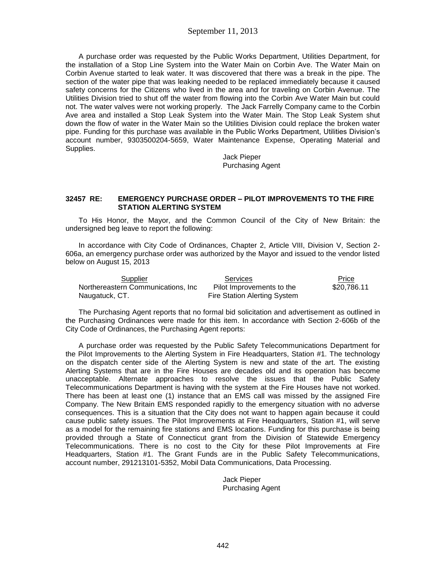A purchase order was requested by the Public Works Department, Utilities Department, for the installation of a Stop Line System into the Water Main on Corbin Ave. The Water Main on Corbin Avenue started to leak water. It was discovered that there was a break in the pipe. The section of the water pipe that was leaking needed to be replaced immediately because it caused safety concerns for the Citizens who lived in the area and for traveling on Corbin Avenue. The Utilities Division tried to shut off the water from flowing into the Corbin Ave Water Main but could not. The water valves were not working properly. The Jack Farrelly Company came to the Corbin Ave area and installed a Stop Leak System into the Water Main. The Stop Leak System shut down the flow of water in the Water Main so the Utilities Division could replace the broken water pipe. Funding for this purchase was available in the Public Works Department, Utilities Division's account number, 9303500204-5659, Water Maintenance Expense, Operating Material and Supplies.

> Jack Pieper Purchasing Agent

#### **32457 RE: EMERGENCY PURCHASE ORDER – PILOT IMPROVEMENTS TO THE FIRE STATION ALERTING SYSTEM**

To His Honor, the Mayor, and the Common Council of the City of New Britain: the undersigned beg leave to report the following:

In accordance with City Code of Ordinances, Chapter 2, Article VIII, Division V, Section 2- 606a, an emergency purchase order was authorized by the Mayor and issued to the vendor listed below on August 15, 2013

| Supplier                           | Services                     | Price       |
|------------------------------------|------------------------------|-------------|
| Northereastern Communications, Inc | Pilot Improvements to the    | \$20.786.11 |
| Naugatuck, CT.                     | Fire Station Alerting System |             |

The Purchasing Agent reports that no formal bid solicitation and advertisement as outlined in the Purchasing Ordinances were made for this item. In accordance with Section 2-606b of the City Code of Ordinances, the Purchasing Agent reports:

A purchase order was requested by the Public Safety Telecommunications Department for the Pilot Improvements to the Alerting System in Fire Headquarters, Station #1. The technology on the dispatch center side of the Alerting System is new and state of the art. The existing Alerting Systems that are in the Fire Houses are decades old and its operation has become unacceptable. Alternate approaches to resolve the issues that the Public Safety Telecommunications Department is having with the system at the Fire Houses have not worked. There has been at least one (1) instance that an EMS call was missed by the assigned Fire Company. The New Britain EMS responded rapidly to the emergency situation with no adverse consequences. This is a situation that the City does not want to happen again because it could cause public safety issues. The Pilot Improvements at Fire Headquarters, Station #1, will serve as a model for the remaining fire stations and EMS locations. Funding for this purchase is being provided through a State of Connecticut grant from the Division of Statewide Emergency Telecommunications. There is no cost to the City for these Pilot Improvements at Fire Headquarters, Station #1. The Grant Funds are in the Public Safety Telecommunications, account number, 291213101-5352, Mobil Data Communications, Data Processing.

> Jack Pieper Purchasing Agent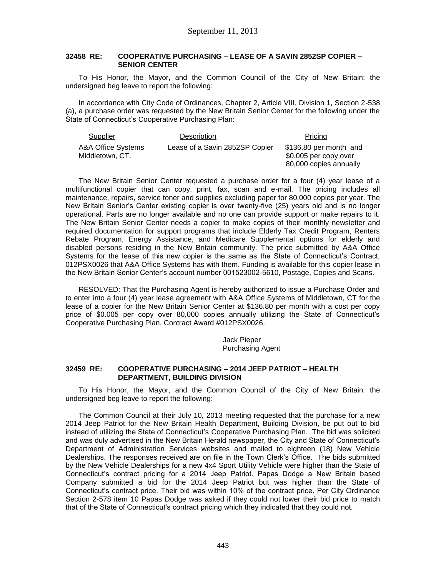#### **32458 RE: COOPERATIVE PURCHASING – LEASE OF A SAVIN 2852SP COPIER – SENIOR CENTER**

To His Honor, the Mayor, and the Common Council of the City of New Britain: the undersigned beg leave to report the following:

In accordance with City Code of Ordinances, Chapter 2, Article VIII, Division 1, Section 2-538 (a), a purchase order was requested by the New Britain Senior Center for the following under the State of Connecticut's Cooperative Purchasing Plan:

| Supplier                              | Description                    | Pricing                                                                   |
|---------------------------------------|--------------------------------|---------------------------------------------------------------------------|
| A&A Office Systems<br>Middletown, CT. | Lease of a Savin 2852SP Copier | \$136.80 per month and<br>\$0.005 per copy over<br>80,000 copies annually |

The New Britain Senior Center requested a purchase order for a four (4) year lease of a multifunctional copier that can copy, print, fax, scan and e-mail. The pricing includes all maintenance, repairs, service toner and supplies excluding paper for 80,000 copies per year. The New Britain Senior's Center existing copier is over twenty-five (25) years old and is no longer operational. Parts are no longer available and no one can provide support or make repairs to it. The New Britain Senior Center needs a copier to make copies of their monthly newsletter and required documentation for support programs that include Elderly Tax Credit Program, Renters Rebate Program, Energy Assistance, and Medicare Supplemental options for elderly and disabled persons residing in the New Britain community. The price submitted by A&A Office Systems for the lease of this new copier is the same as the State of Connecticut's Contract, 012PSX0026 that A&A Office Systems has with them. Funding is available for this copier lease in the New Britain Senior Center's account number 001523002-5610, Postage, Copies and Scans.

RESOLVED: That the Purchasing Agent is hereby authorized to issue a Purchase Order and to enter into a four (4) year lease agreement with A&A Office Systems of Middletown, CT for the lease of a copier for the New Britain Senior Center at \$136.80 per month with a cost per copy price of \$0.005 per copy over 80,000 copies annually utilizing the State of Connecticut's Cooperative Purchasing Plan, Contract Award #012PSX0026.

> Jack Pieper Purchasing Agent

#### **32459 RE: COOPERATIVE PURCHASING – 2014 JEEP PATRIOT – HEALTH DEPARTMENT, BUILDING DIVISION**

To His Honor, the Mayor, and the Common Council of the City of New Britain: the undersigned beg leave to report the following:

The Common Council at their July 10, 2013 meeting requested that the purchase for a new 2014 Jeep Patriot for the New Britain Health Department, Building Division, be put out to bid instead of utilizing the State of Connecticut's Cooperative Purchasing Plan. The bid was solicited and was duly advertised in the New Britain Herald newspaper, the City and State of Connecticut's Department of Administration Services websites and mailed to eighteen (18) New Vehicle Dealerships. The responses received are on file in the Town Clerk's Office. The bids submitted by the New Vehicle Dealerships for a new 4x4 Sport Utility Vehicle were higher than the State of Connecticut's contract pricing for a 2014 Jeep Patriot. Papas Dodge a New Britain based Company submitted a bid for the 2014 Jeep Patriot but was higher than the State of Connecticut's contract price. Their bid was within 10% of the contract price. Per City Ordinance Section 2-578 item 10 Papas Dodge was asked if they could not lower their bid price to match that of the State of Connecticut's contract pricing which they indicated that they could not.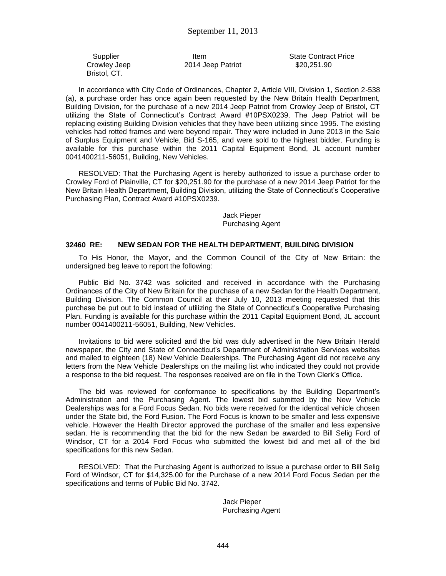Crowley Jeep Bristol, CT.

2014 Jeep Patriot

Supplier Item Item State Contract Price \$20,251.90

In accordance with City Code of Ordinances, Chapter 2, Article VIII, Division 1, Section 2-538 (a), a purchase order has once again been requested by the New Britain Health Department, Building Division, for the purchase of a new 2014 Jeep Patriot from Crowley Jeep of Bristol, CT utilizing the State of Connecticut's Contract Award #10PSX0239. The Jeep Patriot will be replacing existing Building Division vehicles that they have been utilizing since 1995. The existing vehicles had rotted frames and were beyond repair. They were included in June 2013 in the Sale of Surplus Equipment and Vehicle, Bid S-165, and were sold to the highest bidder. Funding is available for this purchase within the 2011 Capital Equipment Bond, JL account number 0041400211-56051, Building, New Vehicles.

RESOLVED: That the Purchasing Agent is hereby authorized to issue a purchase order to Crowley Ford of Plainville, CT for \$20,251.90 for the purchase of a new 2014 Jeep Patriot for the New Britain Health Department, Building Division, utilizing the State of Connecticut's Cooperative Purchasing Plan, Contract Award #10PSX0239.

> Jack Pieper Purchasing Agent

#### **32460 RE: NEW SEDAN FOR THE HEALTH DEPARTMENT, BUILDING DIVISION**

To His Honor, the Mayor, and the Common Council of the City of New Britain: the undersigned beg leave to report the following:

Public Bid No. 3742 was solicited and received in accordance with the Purchasing Ordinances of the City of New Britain for the purchase of a new Sedan for the Health Department, Building Division. The Common Council at their July 10, 2013 meeting requested that this purchase be put out to bid instead of utilizing the State of Connecticut's Cooperative Purchasing Plan. Funding is available for this purchase within the 2011 Capital Equipment Bond, JL account number 0041400211-56051, Building, New Vehicles.

Invitations to bid were solicited and the bid was duly advertised in the New Britain Herald newspaper, the City and State of Connecticut's Department of Administration Services websites and mailed to eighteen (18) New Vehicle Dealerships. The Purchasing Agent did not receive any letters from the New Vehicle Dealerships on the mailing list who indicated they could not provide a response to the bid request. The responses received are on file in the Town Clerk's Office.

The bid was reviewed for conformance to specifications by the Building Department's Administration and the Purchasing Agent. The lowest bid submitted by the New Vehicle Dealerships was for a Ford Focus Sedan. No bids were received for the identical vehicle chosen under the State bid, the Ford Fusion. The Ford Focus is known to be smaller and less expensive vehicle. However the Health Director approved the purchase of the smaller and less expensive sedan. He is recommending that the bid for the new Sedan be awarded to Bill Selig Ford of Windsor, CT for a 2014 Ford Focus who submitted the lowest bid and met all of the bid specifications for this new Sedan.

RESOLVED: That the Purchasing Agent is authorized to issue a purchase order to Bill Selig Ford of Windsor, CT for \$14,325.00 for the Purchase of a new 2014 Ford Focus Sedan per the specifications and terms of Public Bid No. 3742.

> Jack Pieper Purchasing Agent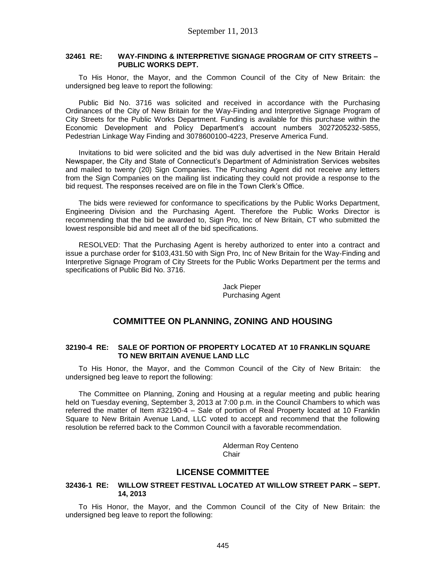### **32461 RE: WAY-FINDING & INTERPRETIVE SIGNAGE PROGRAM OF CITY STREETS – PUBLIC WORKS DEPT.**

To His Honor, the Mayor, and the Common Council of the City of New Britain: the undersigned beg leave to report the following:

Public Bid No. 3716 was solicited and received in accordance with the Purchasing Ordinances of the City of New Britain for the Way-Finding and Interpretive Signage Program of City Streets for the Public Works Department. Funding is available for this purchase within the Economic Development and Policy Department's account numbers 3027205232-5855, Pedestrian Linkage Way Finding and 3078600100-4223, Preserve America Fund.

Invitations to bid were solicited and the bid was duly advertised in the New Britain Herald Newspaper, the City and State of Connecticut's Department of Administration Services websites and mailed to twenty (20) Sign Companies. The Purchasing Agent did not receive any letters from the Sign Companies on the mailing list indicating they could not provide a response to the bid request. The responses received are on file in the Town Clerk's Office.

The bids were reviewed for conformance to specifications by the Public Works Department, Engineering Division and the Purchasing Agent. Therefore the Public Works Director is recommending that the bid be awarded to, Sign Pro, Inc of New Britain, CT who submitted the lowest responsible bid and meet all of the bid specifications.

RESOLVED: That the Purchasing Agent is hereby authorized to enter into a contract and issue a purchase order for \$103,431.50 with Sign Pro, Inc of New Britain for the Way-Finding and Interpretive Signage Program of City Streets for the Public Works Department per the terms and specifications of Public Bid No. 3716.

> Jack Pieper Purchasing Agent

# **COMMITTEE ON PLANNING, ZONING AND HOUSING**

#### **32190-4 RE: SALE OF PORTION OF PROPERTY LOCATED AT 10 FRANKLIN SQUARE TO NEW BRITAIN AVENUE LAND LLC**

To His Honor, the Mayor, and the Common Council of the City of New Britain: the undersigned beg leave to report the following:

The Committee on Planning, Zoning and Housing at a regular meeting and public hearing held on Tuesday evening, September 3, 2013 at 7:00 p.m. in the Council Chambers to which was referred the matter of Item #32190-4 – Sale of portion of Real Property located at 10 Franklin Square to New Britain Avenue Land, LLC voted to accept and recommend that the following resolution be referred back to the Common Council with a favorable recommendation.

> Alderman Roy Centeno Chair

## **LICENSE COMMITTEE**

### **32436-1 RE: WILLOW STREET FESTIVAL LOCATED AT WILLOW STREET PARK – SEPT. 14, 2013**

To His Honor, the Mayor, and the Common Council of the City of New Britain: the undersigned beg leave to report the following: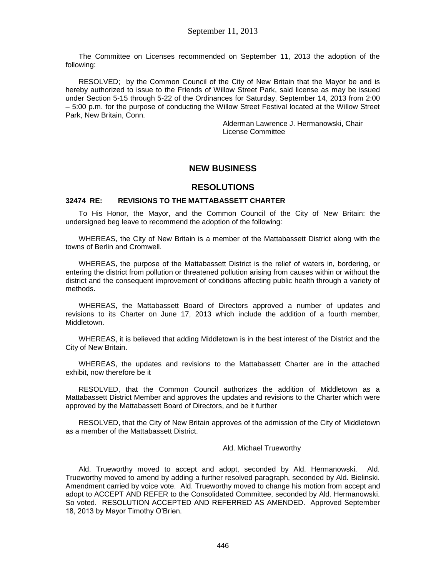The Committee on Licenses recommended on September 11, 2013 the adoption of the following:

RESOLVED; by the Common Council of the City of New Britain that the Mayor be and is hereby authorized to issue to the Friends of Willow Street Park, said license as may be issued under Section 5-15 through 5-22 of the Ordinances for Saturday, September 14, 2013 from 2:00 – 5:00 p.m. for the purpose of conducting the Willow Street Festival located at the Willow Street Park, New Britain, Conn.

> Alderman Lawrence J. Hermanowski, Chair License Committee

# **NEW BUSINESS**

## **RESOLUTIONS**

### **32474 RE: REVISIONS TO THE MATTABASSETT CHARTER**

To His Honor, the Mayor, and the Common Council of the City of New Britain: the undersigned beg leave to recommend the adoption of the following:

WHEREAS, the City of New Britain is a member of the Mattabassett District along with the towns of Berlin and Cromwell.

WHEREAS, the purpose of the Mattabassett District is the relief of waters in, bordering, or entering the district from pollution or threatened pollution arising from causes within or without the district and the consequent improvement of conditions affecting public health through a variety of methods.

WHEREAS, the Mattabassett Board of Directors approved a number of updates and revisions to its Charter on June 17, 2013 which include the addition of a fourth member, Middletown.

WHEREAS, it is believed that adding Middletown is in the best interest of the District and the City of New Britain.

WHEREAS, the updates and revisions to the Mattabassett Charter are in the attached exhibit, now therefore be it

RESOLVED, that the Common Council authorizes the addition of Middletown as a Mattabassett District Member and approves the updates and revisions to the Charter which were approved by the Mattabassett Board of Directors, and be it further

RESOLVED, that the City of New Britain approves of the admission of the City of Middletown as a member of the Mattabassett District.

#### Ald. Michael Trueworthy

Ald. Trueworthy moved to accept and adopt, seconded by Ald. Hermanowski. Ald. Trueworthy moved to amend by adding a further resolved paragraph, seconded by Ald. Bielinski. Amendment carried by voice vote. Ald. Trueworthy moved to change his motion from accept and adopt to ACCEPT AND REFER to the Consolidated Committee, seconded by Ald. Hermanowski. So voted. RESOLUTION ACCEPTED AND REFERRED AS AMENDED. Approved September 18, 2013 by Mayor Timothy O'Brien.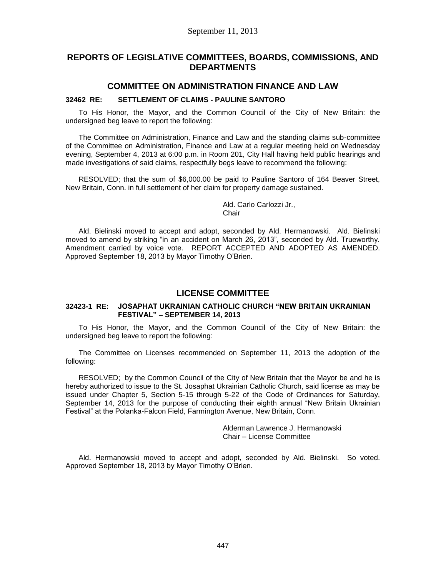# **REPORTS OF LEGISLATIVE COMMITTEES, BOARDS, COMMISSIONS, AND DEPARTMENTS**

### **COMMITTEE ON ADMINISTRATION FINANCE AND LAW**

#### **32462 RE: SETTLEMENT OF CLAIMS - PAULINE SANTORO**

To His Honor, the Mayor, and the Common Council of the City of New Britain: the undersigned beg leave to report the following:

The Committee on Administration, Finance and Law and the standing claims sub-committee of the Committee on Administration, Finance and Law at a regular meeting held on Wednesday evening, September 4, 2013 at 6:00 p.m. in Room 201, City Hall having held public hearings and made investigations of said claims, respectfully begs leave to recommend the following:

RESOLVED; that the sum of \$6,000.00 be paid to Pauline Santoro of 164 Beaver Street, New Britain, Conn. in full settlement of her claim for property damage sustained.

> Ald. Carlo Carlozzi Jr., **Chair**

Ald. Bielinski moved to accept and adopt, seconded by Ald. Hermanowski. Ald. Bielinski moved to amend by striking "in an accident on March 26, 2013", seconded by Ald. Trueworthy. Amendment carried by voice vote. REPORT ACCEPTED AND ADOPTED AS AMENDED. Approved September 18, 2013 by Mayor Timothy O'Brien.

## **LICENSE COMMITTEE**

#### **32423-1 RE: JOSAPHAT UKRAINIAN CATHOLIC CHURCH "NEW BRITAIN UKRAINIAN FESTIVAL" – SEPTEMBER 14, 2013**

To His Honor, the Mayor, and the Common Council of the City of New Britain: the undersigned beg leave to report the following:

The Committee on Licenses recommended on September 11, 2013 the adoption of the following:

RESOLVED; by the Common Council of the City of New Britain that the Mayor be and he is hereby authorized to issue to the St. Josaphat Ukrainian Catholic Church, said license as may be issued under Chapter 5, Section 5-15 through 5-22 of the Code of Ordinances for Saturday, September 14, 2013 for the purpose of conducting their eighth annual "New Britain Ukrainian Festival" at the Polanka-Falcon Field, Farmington Avenue, New Britain, Conn.

> Alderman Lawrence J. Hermanowski Chair – License Committee

Ald. Hermanowski moved to accept and adopt, seconded by Ald. Bielinski. So voted. Approved September 18, 2013 by Mayor Timothy O'Brien.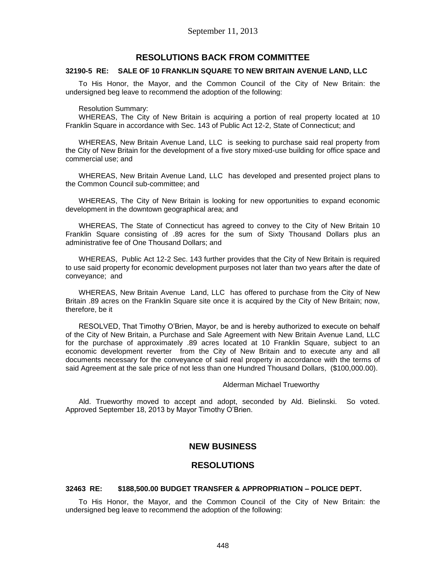### **RESOLUTIONS BACK FROM COMMITTEE**

#### **32190-5 RE: SALE OF 10 FRANKLIN SQUARE TO NEW BRITAIN AVENUE LAND, LLC**

To His Honor, the Mayor, and the Common Council of the City of New Britain: the undersigned beg leave to recommend the adoption of the following:

#### Resolution Summary:

WHEREAS, The City of New Britain is acquiring a portion of real property located at 10 Franklin Square in accordance with Sec. 143 of Public Act 12-2, State of Connecticut; and

WHEREAS, New Britain Avenue Land, LLC is seeking to purchase said real property from the City of New Britain for the development of a five story mixed-use building for office space and commercial use; and

WHEREAS, New Britain Avenue Land, LLC has developed and presented project plans to the Common Council sub-committee; and

WHEREAS, The City of New Britain is looking for new opportunities to expand economic development in the downtown geographical area; and

WHEREAS, The State of Connecticut has agreed to convey to the City of New Britain 10 Franklin Square consisting of .89 acres for the sum of Sixty Thousand Dollars plus an administrative fee of One Thousand Dollars; and

WHEREAS, Public Act 12-2 Sec. 143 further provides that the City of New Britain is required to use said property for economic development purposes not later than two years after the date of conveyance; and

WHEREAS, New Britain Avenue Land, LLC has offered to purchase from the City of New Britain .89 acres on the Franklin Square site once it is acquired by the City of New Britain; now, therefore, be it

RESOLVED, That Timothy O'Brien, Mayor, be and is hereby authorized to execute on behalf of the City of New Britain, a Purchase and Sale Agreement with New Britain Avenue Land, LLC for the purchase of approximately .89 acres located at 10 Franklin Square, subject to an economic development reverter from the City of New Britain and to execute any and all documents necessary for the conveyance of said real property in accordance with the terms of said Agreement at the sale price of not less than one Hundred Thousand Dollars, (\$100,000.00).

#### Alderman Michael Trueworthy

Ald. Trueworthy moved to accept and adopt, seconded by Ald. Bielinski. So voted. Approved September 18, 2013 by Mayor Timothy O'Brien.

### **NEW BUSINESS**

### **RESOLUTIONS**

#### **32463 RE: \$188,500.00 BUDGET TRANSFER & APPROPRIATION – POLICE DEPT.**

To His Honor, the Mayor, and the Common Council of the City of New Britain: the undersigned beg leave to recommend the adoption of the following: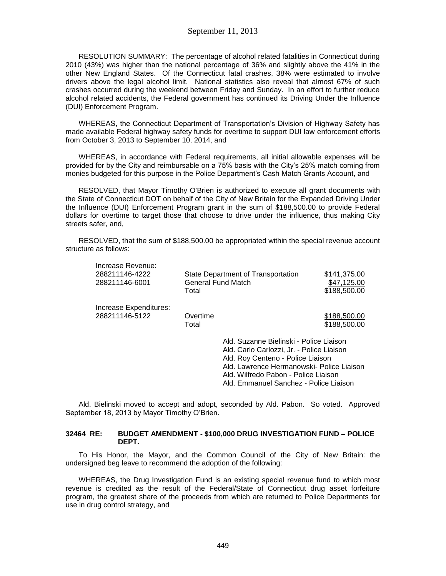RESOLUTION SUMMARY: The percentage of alcohol related fatalities in Connecticut during 2010 (43%) was higher than the national percentage of 36% and slightly above the 41% in the other New England States. Of the Connecticut fatal crashes, 38% were estimated to involve drivers above the legal alcohol limit. National statistics also reveal that almost 67% of such crashes occurred during the weekend between Friday and Sunday. In an effort to further reduce alcohol related accidents, the Federal government has continued its Driving Under the Influence (DUI) Enforcement Program.

WHEREAS, the Connecticut Department of Transportation's Division of Highway Safety has made available Federal highway safety funds for overtime to support DUI law enforcement efforts from October 3, 2013 to September 10, 2014, and

WHEREAS, in accordance with Federal requirements, all initial allowable expenses will be provided for by the City and reimbursable on a 75% basis with the City's 25% match coming from monies budgeted for this purpose in the Police Department's Cash Match Grants Account, and

RESOLVED, that Mayor Timothy O'Brien is authorized to execute all grant documents with the State of Connecticut DOT on behalf of the City of New Britain for the Expanded Driving Under the Influence (DUI) Enforcement Program grant in the sum of \$188,500.00 to provide Federal dollars for overtime to target those that choose to drive under the influence, thus making City streets safer, and,

RESOLVED, that the sum of \$188,500.00 be appropriated within the special revenue account structure as follows:

| Increase Revenue:<br>288211146-4222<br>288211146-6001 | General Fund Match<br>Total | State Department of Transportation                                                                                                                                                                                                                       | \$141,375.00<br>\$47,125.00<br>\$188,500.00 |
|-------------------------------------------------------|-----------------------------|----------------------------------------------------------------------------------------------------------------------------------------------------------------------------------------------------------------------------------------------------------|---------------------------------------------|
| Increase Expenditures:<br>288211146-5122              | Overtime<br>Total           |                                                                                                                                                                                                                                                          | \$188,500.00<br>\$188,500.00                |
|                                                       |                             | Ald, Suzanne Bielinski - Police Liaison<br>Ald. Carlo Carlozzi, Jr. - Police Liaison<br>Ald. Roy Centeno - Police Liaison<br>Ald. Lawrence Hermanowski- Police Liaison<br>Ald. Wilfredo Pabon - Police Liaison<br>Ald. Emmanuel Sanchez - Police Liaison |                                             |

Ald. Bielinski moved to accept and adopt, seconded by Ald. Pabon. So voted. Approved September 18, 2013 by Mayor Timothy O'Brien.

#### **32464 RE: BUDGET AMENDMENT - \$100,000 DRUG INVESTIGATION FUND – POLICE DEPT.**

To His Honor, the Mayor, and the Common Council of the City of New Britain: the undersigned beg leave to recommend the adoption of the following:

WHEREAS, the Drug Investigation Fund is an existing special revenue fund to which most revenue is credited as the result of the Federal/State of Connecticut drug asset forfeiture program, the greatest share of the proceeds from which are returned to Police Departments for use in drug control strategy, and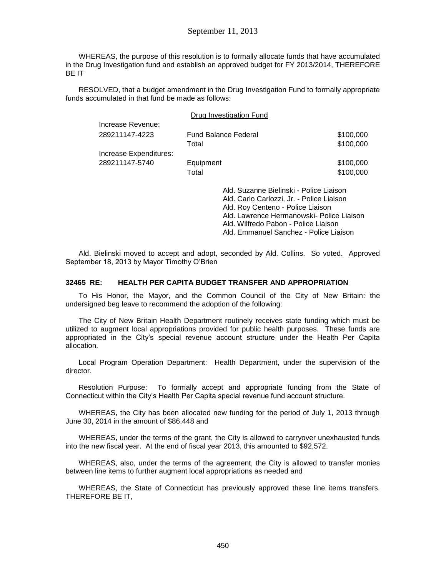WHEREAS, the purpose of this resolution is to formally allocate funds that have accumulated in the Drug Investigation fund and establish an approved budget for FY 2013/2014, THEREFORE BE IT

RESOLVED, that a budget amendment in the Drug Investigation Fund to formally appropriate funds accumulated in that fund be made as follows:

|                        |                             | Drug Investigation Fund                                                              |           |
|------------------------|-----------------------------|--------------------------------------------------------------------------------------|-----------|
| Increase Revenue:      |                             |                                                                                      |           |
| 289211147-4223         | <b>Fund Balance Federal</b> |                                                                                      | \$100,000 |
|                        | Total                       |                                                                                      | \$100,000 |
| Increase Expenditures: |                             |                                                                                      |           |
| 289211147-5740         | Equipment                   |                                                                                      | \$100,000 |
|                        | Total                       |                                                                                      | \$100,000 |
|                        |                             | Ald. Suzanne Bielinski - Police Liaison<br>Ald. Carlo Carlozzi. Jr. - Police Liaison |           |

Ald. Carlo Carlozzi, Jr. - Police Liaison Ald. Roy Centeno - Police Liaison Ald. Lawrence Hermanowski- Police Liaison Ald. Wilfredo Pabon - Police Liaison Ald. Emmanuel Sanchez - Police Liaison

Ald. Bielinski moved to accept and adopt, seconded by Ald. Collins. So voted. Approved September 18, 2013 by Mayor Timothy O'Brien

#### **32465 RE: HEALTH PER CAPITA BUDGET TRANSFER AND APPROPRIATION**

To His Honor, the Mayor, and the Common Council of the City of New Britain: the undersigned beg leave to recommend the adoption of the following:

The City of New Britain Health Department routinely receives state funding which must be utilized to augment local appropriations provided for public health purposes. These funds are appropriated in the City's special revenue account structure under the Health Per Capita allocation.

Local Program Operation Department: Health Department, under the supervision of the director.

Resolution Purpose: To formally accept and appropriate funding from the State of Connecticut within the City's Health Per Capita special revenue fund account structure.

WHEREAS, the City has been allocated new funding for the period of July 1, 2013 through June 30, 2014 in the amount of \$86,448 and

WHEREAS, under the terms of the grant, the City is allowed to carryover unexhausted funds into the new fiscal year. At the end of fiscal year 2013, this amounted to \$92,572.

WHEREAS, also, under the terms of the agreement, the City is allowed to transfer monies between line items to further augment local appropriations as needed and

WHEREAS, the State of Connecticut has previously approved these line items transfers. THEREFORE BE IT,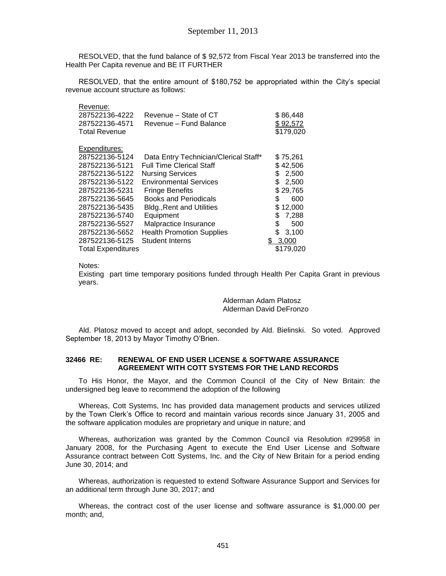RESOLVED, that the fund balance of \$ 92,572 from Fiscal Year 2013 be transferred into the Health Per Capita revenue and BE IT FURTHER

RESOLVED, that the entire amount of \$180,752 be appropriated within the City's special revenue account structure as follows:

| Revenue:<br>287522136-4222 | Revenue – State of CT                 | \$86,448     |
|----------------------------|---------------------------------------|--------------|
| 287522136-4571             | Revenue - Fund Balance                |              |
|                            |                                       | \$92,572     |
| <b>Total Revenue</b>       |                                       | \$179,020    |
|                            |                                       |              |
| Expenditures:              |                                       |              |
| 287522136-5124             | Data Entry Technician/Clerical Staff* | \$75,261     |
| 287522136-5121             | <b>Full Time Clerical Staff</b>       | \$42,506     |
| 287522136-5122             | <b>Nursing Services</b>               | 2,500<br>\$. |
| 287522136-5122             | <b>Environmental Services</b>         | \$<br>2,500  |
| 287522136-5231             | <b>Fringe Benefits</b>                | \$29,765     |
| 287522136-5645             | <b>Books and Periodicals</b>          | S<br>600     |
| 287522136-5435             | <b>Bldg., Rent and Utilities</b>      | \$12,000     |
| 287522136-5740             | Equipment                             | 7,288<br>S   |
| 287522136-5527             | Malpractice Insurance                 | \$<br>500    |
| 287522136-5652             | <b>Health Promotion Supplies</b>      | \$<br>3,100  |
| 287522136-5125             | <b>Student Interns</b>                | \$<br>3,000  |
| <b>Total Expenditures</b>  |                                       | \$179,020    |

Notes:

Existing part time temporary positions funded through Health Per Capita Grant in previous years.

> Alderman Adam Platosz Alderman David DeFronzo

Ald. Platosz moved to accept and adopt, seconded by Ald. Bielinski. So voted. Approved September 18, 2013 by Mayor Timothy O'Brien.

### **32466 RE: RENEWAL OF END USER LICENSE & SOFTWARE ASSURANCE AGREEMENT WITH COTT SYSTEMS FOR THE LAND RECORDS**

To His Honor, the Mayor, and the Common Council of the City of New Britain: the undersigned beg leave to recommend the adoption of the following

Whereas, Cott Systems, Inc has provided data management products and services utilized by the Town Clerk's Office to record and maintain various records since January 31, 2005 and the software application modules are proprietary and unique in nature; and

Whereas, authorization was granted by the Common Council via Resolution #29958 in January 2008, for the Purchasing Agent to execute the End User License and Software Assurance contract between Cott Systems, Inc. and the City of New Britain for a period ending June 30, 2014; and

Whereas, authorization is requested to extend Software Assurance Support and Services for an additional term through June 30, 2017; and

Whereas, the contract cost of the user license and software assurance is \$1,000.00 per month; and,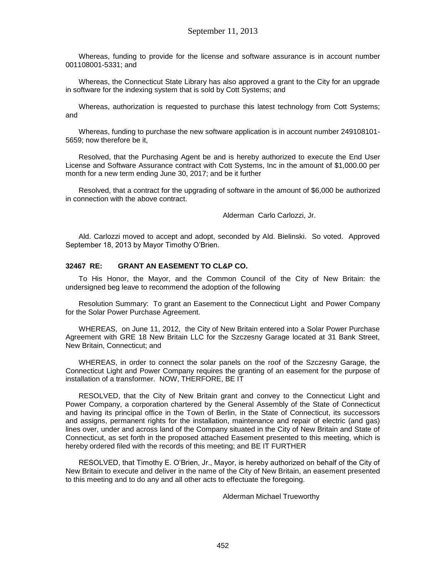Whereas, funding to provide for the license and software assurance is in account number 001108001-5331; and

Whereas, the Connecticut State Library has also approved a grant to the City for an upgrade in software for the indexing system that is sold by Cott Systems; and

Whereas, authorization is requested to purchase this latest technology from Cott Systems; and

Whereas, funding to purchase the new software application is in account number 249108101- 5659; now therefore be it,

Resolved, that the Purchasing Agent be and is hereby authorized to execute the End User License and Software Assurance contract with Cott Systems, Inc in the amount of \$1,000.00 per month for a new term ending June 30, 2017; and be it further

Resolved, that a contract for the upgrading of software in the amount of \$6,000 be authorized in connection with the above contract.

Alderman Carlo Carlozzi, Jr.

Ald. Carlozzi moved to accept and adopt, seconded by Ald. Bielinski. So voted. Approved September 18, 2013 by Mayor Timothy O'Brien.

#### **32467 RE: GRANT AN EASEMENT TO CL&P CO.**

To His Honor, the Mayor, and the Common Council of the City of New Britain: the undersigned beg leave to recommend the adoption of the following

Resolution Summary: To grant an Easement to the Connecticut Light and Power Company for the Solar Power Purchase Agreement.

WHEREAS, on June 11, 2012, the City of New Britain entered into a Solar Power Purchase Agreement with GRE 18 New Britain LLC for the Szczesny Garage located at 31 Bank Street, New Britain, Connecticut; and

WHEREAS, in order to connect the solar panels on the roof of the Szczesny Garage, the Connecticut Light and Power Company requires the granting of an easement for the purpose of installation of a transformer. NOW, THERFORE, BE IT

RESOLVED, that the City of New Britain grant and convey to the Connecticut Light and Power Company, a corporation chartered by the General Assembly of the State of Connecticut and having its principal office in the Town of Berlin, in the State of Connecticut, its successors and assigns, permanent rights for the installation, maintenance and repair of electric (and gas) lines over, under and across land of the Company situated in the City of New Britain and State of Connecticut, as set forth in the proposed attached Easement presented to this meeting, which is hereby ordered filed with the records of this meeting; and BE IT FURTHER

RESOLVED, that Timothy E. O'Brien, Jr., Mayor, is hereby authorized on behalf of the City of New Britain to execute and deliver in the name of the City of New Britain, an easement presented to this meeting and to do any and all other acts to effectuate the foregoing.

Alderman Michael Trueworthy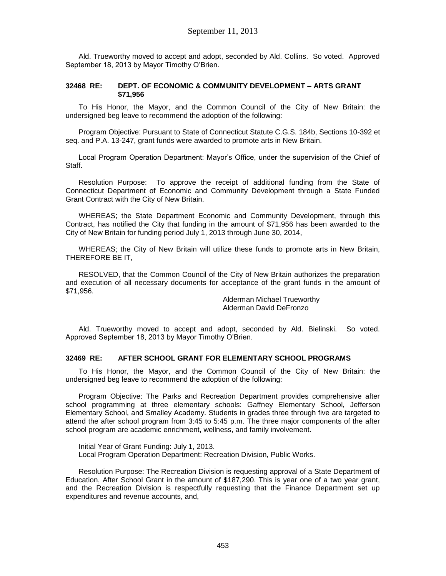Ald. Trueworthy moved to accept and adopt, seconded by Ald. Collins. So voted. Approved September 18, 2013 by Mayor Timothy O'Brien.

#### **32468 RE: DEPT. OF ECONOMIC & COMMUNITY DEVELOPMENT – ARTS GRANT \$71,956**

To His Honor, the Mayor, and the Common Council of the City of New Britain: the undersigned beg leave to recommend the adoption of the following:

Program Objective: Pursuant to State of Connecticut Statute C.G.S. 184b, Sections 10-392 et seq. and P.A. 13-247, grant funds were awarded to promote arts in New Britain.

Local Program Operation Department: Mayor's Office, under the supervision of the Chief of Staff.

Resolution Purpose: To approve the receipt of additional funding from the State of Connecticut Department of Economic and Community Development through a State Funded Grant Contract with the City of New Britain.

WHEREAS; the State Department Economic and Community Development, through this Contract, has notified the City that funding in the amount of \$71,956 has been awarded to the City of New Britain for funding period July 1, 2013 through June 30, 2014,

WHEREAS; the City of New Britain will utilize these funds to promote arts in New Britain, THEREFORE BE IT,

RESOLVED, that the Common Council of the City of New Britain authorizes the preparation and execution of all necessary documents for acceptance of the grant funds in the amount of \$71,956.

> Alderman Michael Trueworthy Alderman David DeFronzo

Ald. Trueworthy moved to accept and adopt, seconded by Ald. Bielinski. So voted. Approved September 18, 2013 by Mayor Timothy O'Brien.

### **32469 RE: AFTER SCHOOL GRANT FOR ELEMENTARY SCHOOL PROGRAMS**

To His Honor, the Mayor, and the Common Council of the City of New Britain: the undersigned beg leave to recommend the adoption of the following:

Program Objective: The Parks and Recreation Department provides comprehensive after school programming at three elementary schools: Gaffney Elementary School, Jefferson Elementary School, and Smalley Academy. Students in grades three through five are targeted to attend the after school program from 3:45 to 5:45 p.m. The three major components of the after school program are academic enrichment, wellness, and family involvement.

Initial Year of Grant Funding: July 1, 2013. Local Program Operation Department: Recreation Division, Public Works.

Resolution Purpose: The Recreation Division is requesting approval of a State Department of Education, After School Grant in the amount of \$187,290. This is year one of a two year grant, and the Recreation Division is respectfully requesting that the Finance Department set up expenditures and revenue accounts, and,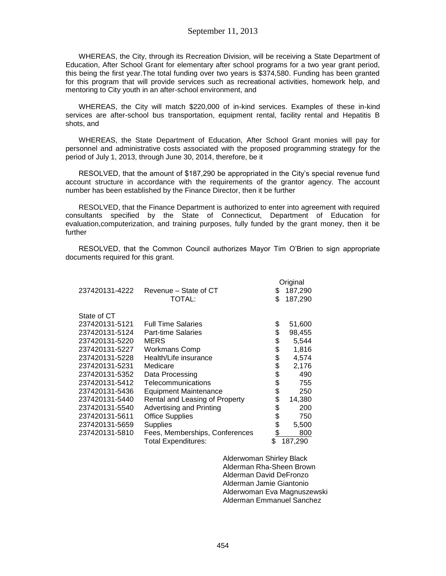### September 11, 2013

WHEREAS, the City, through its Recreation Division, will be receiving a State Department of Education, After School Grant for elementary after school programs for a two year grant period, this being the first year.The total funding over two years is \$374,580. Funding has been granted for this program that will provide services such as recreational activities, homework help, and mentoring to City youth in an after-school environment, and

WHEREAS, the City will match \$220,000 of in-kind services. Examples of these in-kind services are after-school bus transportation, equipment rental, facility rental and Hepatitis B shots, and

WHEREAS, the State Department of Education, After School Grant monies will pay for personnel and administrative costs associated with the proposed programming strategy for the period of July 1, 2013, through June 30, 2014, therefore, be it

RESOLVED, that the amount of \$187,290 be appropriated in the City's special revenue fund account structure in accordance with the requirements of the grantor agency. The account number has been established by the Finance Director, then it be further

RESOLVED, that the Finance Department is authorized to enter into agreement with required consultants specified by the State of Connecticut, Department of Education for evaluation,computerization, and training purposes, fully funded by the grant money, then it be further

RESOLVED, that the Common Council authorizes Mayor Tim O'Brien to sign appropriate documents required for this grant.

|                |                                | Original      |
|----------------|--------------------------------|---------------|
| 237420131-4222 | Revenue – State of CT          | \$<br>187,290 |
|                | TOTAL:                         | \$<br>187,290 |
|                |                                |               |
| State of CT    |                                |               |
| 237420131-5121 | <b>Full Time Salaries</b>      | \$<br>51,600  |
| 237420131-5124 | <b>Part-time Salaries</b>      | \$<br>98,455  |
| 237420131-5220 | MERS                           | \$<br>5,544   |
| 237420131-5227 | <b>Workmans Comp</b>           | \$<br>1,816   |
| 237420131-5228 | Health/Life insurance          | \$<br>4,574   |
| 237420131-5231 | Medicare                       | \$<br>2,176   |
| 237420131-5352 | Data Processing                | \$<br>490     |
| 237420131-5412 | Telecommunications             | \$<br>755     |
| 237420131-5436 | <b>Equipment Maintenance</b>   | \$<br>250     |
| 237420131-5440 | Rental and Leasing of Property | \$<br>14,380  |
| 237420131-5540 | Advertising and Printing       | \$<br>200     |
| 237420131-5611 | <b>Office Supplies</b>         | \$<br>750     |
| 237420131-5659 | <b>Supplies</b>                | \$<br>5,500   |
| 237420131-5810 | Fees, Memberships, Conferences | \$<br>800     |
|                | Total Expenditures:            | \$<br>187,290 |

Alderwoman Shirley Black Alderman Rha-Sheen Brown Alderman David DeFronzo Alderman Jamie Giantonio Alderwoman Eva Magnuszewski Alderman Emmanuel Sanchez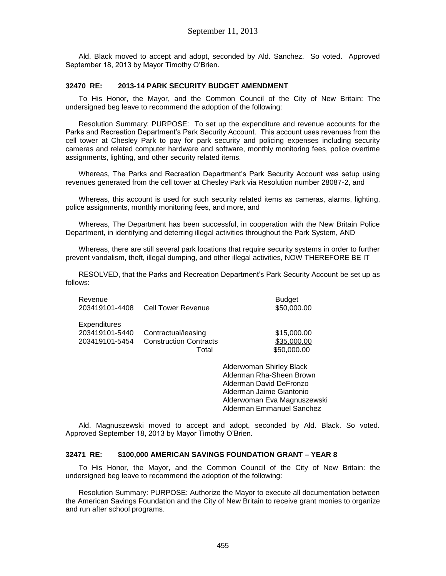Ald. Black moved to accept and adopt, seconded by Ald. Sanchez. So voted. Approved September 18, 2013 by Mayor Timothy O'Brien.

### **32470 RE: 2013-14 PARK SECURITY BUDGET AMENDMENT**

To His Honor, the Mayor, and the Common Council of the City of New Britain: The undersigned beg leave to recommend the adoption of the following:

Resolution Summary: PURPOSE: To set up the expenditure and revenue accounts for the Parks and Recreation Department's Park Security Account. This account uses revenues from the cell tower at Chesley Park to pay for park security and policing expenses including security cameras and related computer hardware and software, monthly monitoring fees, police overtime assignments, lighting, and other security related items.

Whereas, The Parks and Recreation Department's Park Security Account was setup using revenues generated from the cell tower at Chesley Park via Resolution number 28087-2, and

Whereas, this account is used for such security related items as cameras, alarms, lighting, police assignments, monthly monitoring fees, and more, and

Whereas, The Department has been successful, in cooperation with the New Britain Police Department, in identifying and deterring illegal activities throughout the Park System, AND

Whereas, there are still several park locations that require security systems in order to further prevent vandalism, theft, illegal dumping, and other illegal activities, NOW THEREFORE BE IT

RESOLVED, that the Parks and Recreation Department's Park Security Account be set up as follows:

| Revenue<br>203419101-4408 | <b>Cell Tower Revenue</b>     | <b>Budget</b><br>\$50,000.00 |
|---------------------------|-------------------------------|------------------------------|
| <b>Expenditures</b>       | Contractual/leasing           | \$15,000.00                  |
| 203419101-5440            | <b>Construction Contracts</b> | \$35,000.00                  |
| 203419101-5454            | Total                         | \$50,000.00                  |

Alderwoman Shirley Black Alderman Rha-Sheen Brown Alderman David DeFronzo Alderman Jaime Giantonio Alderwoman Eva Magnuszewski Alderman Emmanuel Sanchez

Ald. Magnuszewski moved to accept and adopt, seconded by Ald. Black. So voted. Approved September 18, 2013 by Mayor Timothy O'Brien.

#### **32471 RE: \$100,000 AMERICAN SAVINGS FOUNDATION GRANT – YEAR 8**

To His Honor, the Mayor, and the Common Council of the City of New Britain: the undersigned beg leave to recommend the adoption of the following:

Resolution Summary: PURPOSE: Authorize the Mayor to execute all documentation between the American Savings Foundation and the City of New Britain to receive grant monies to organize and run after school programs.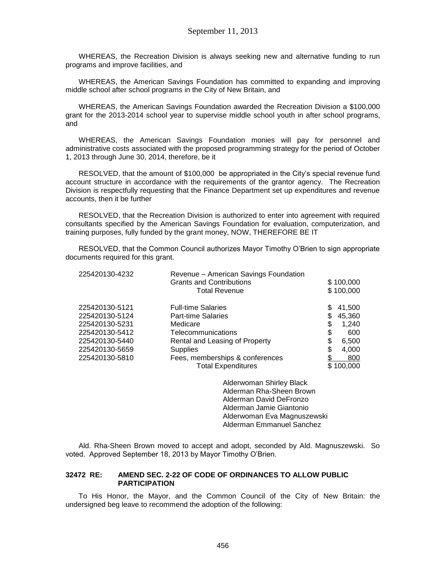WHEREAS, the Recreation Division is always seeking new and alternative funding to run programs and improve facilities, and

WHEREAS, the American Savings Foundation has committed to expanding and improving middle school after school programs in the City of New Britain, and

WHEREAS, the American Savings Foundation awarded the Recreation Division a \$100,000 grant for the 2013-2014 school year to supervise middle school youth in after school programs, and

WHEREAS, the American Savings Foundation monies will pay for personnel and administrative costs associated with the proposed programming strategy for the period of October 1, 2013 through June 30, 2014, therefore, be it

RESOLVED, that the amount of \$100,000 be appropriated in the City's special revenue fund account structure in accordance with the requirements of the grantor agency. The Recreation Division is respectfully requesting that the Finance Department set up expenditures and revenue accounts, then it be further

RESOLVED, that the Recreation Division is authorized to enter into agreement with required consultants specified by the American Savings Foundation for evaluation, computerization, and training purposes, fully funded by the grant money, NOW, THEREFORE BE IT

RESOLVED, that the Common Council authorizes Mayor Timothy O'Brien to sign appropriate documents required for this grant.

| 225420130-4232 | Revenue - American Savings Foundation |    |           |
|----------------|---------------------------------------|----|-----------|
|                | <b>Grants and Contributions</b>       |    | \$100,000 |
|                | <b>Total Revenue</b>                  |    | \$100,000 |
| 225420130-5121 | <b>Full-time Salaries</b>             | S  | 41,500    |
| 225420130-5124 | <b>Part-time Salaries</b>             |    | 45,360    |
| 225420130-5231 | Medicare                              | \$ | 1,240     |
| 225420130-5412 | Telecommunications                    | \$ | 600       |
| 225420130-5440 | Rental and Leasing of Property        | \$ | 6,500     |
| 225420130-5659 | <b>Supplies</b>                       | \$ | 4.000     |
| 225420130-5810 | Fees, memberships & conferences       |    | 800       |
|                | <b>Total Expenditures</b>             |    | 100,000   |
|                |                                       |    |           |

Alderwoman Shirley Black Alderman Rha-Sheen Brown Alderman David DeFronzo Alderman Jamie Giantonio Alderwoman Eva Magnuszewski Alderman Emmanuel Sanchez

Ald. Rha-Sheen Brown moved to accept and adopt, seconded by Ald. Magnuszewski. So voted. Approved September 18, 2013 by Mayor Timothy O'Brien.

#### **32472 RE: AMEND SEC. 2-22 OF CODE OF ORDINANCES TO ALLOW PUBLIC PARTICIPATION**

To His Honor, the Mayor, and the Common Council of the City of New Britain: the undersigned beg leave to recommend the adoption of the following: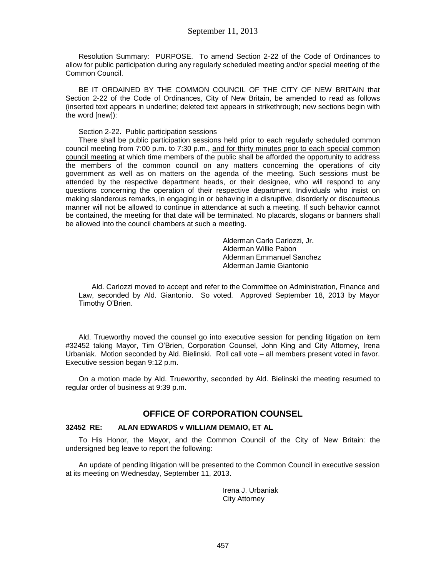Resolution Summary: PURPOSE. To amend Section 2-22 of the Code of Ordinances to allow for public participation during any regularly scheduled meeting and/or special meeting of the Common Council.

BE IT ORDAINED BY THE COMMON COUNCIL OF THE CITY OF NEW BRITAIN that Section 2-22 of the Code of Ordinances, City of New Britain, be amended to read as follows (inserted text appears in underline; deleted text appears in strikethrough; new sections begin with the word [new]):

### Section 2-22. Public participation sessions

There shall be public participation sessions held prior to each regularly scheduled common council meeting from 7:00 p.m. to 7:30 p.m., and for thirty minutes prior to each special common council meeting at which time members of the public shall be afforded the opportunity to address the members of the common council on any matters concerning the operations of city government as well as on matters on the agenda of the meeting. Such sessions must be attended by the respective department heads, or their designee, who will respond to any questions concerning the operation of their respective department. Individuals who insist on making slanderous remarks, in engaging in or behaving in a disruptive, disorderly or discourteous manner will not be allowed to continue in attendance at such a meeting. If such behavior cannot be contained, the meeting for that date will be terminated. No placards, slogans or banners shall be allowed into the council chambers at such a meeting.

> Alderman Carlo Carlozzi, Jr. Alderman Willie Pabon Alderman Emmanuel Sanchez Alderman Jamie Giantonio

Ald. Carlozzi moved to accept and refer to the Committee on Administration, Finance and Law, seconded by Ald. Giantonio. So voted. Approved September 18, 2013 by Mayor Timothy O'Brien.

Ald. Trueworthy moved the counsel go into executive session for pending litigation on item #32452 taking Mayor, Tim O'Brien, Corporation Counsel, John King and City Attorney, Irena Urbaniak. Motion seconded by Ald. Bielinski. Roll call vote – all members present voted in favor. Executive session began 9:12 p.m.

On a motion made by Ald. Trueworthy, seconded by Ald. Bielinski the meeting resumed to regular order of business at 9:39 p.m.

## **OFFICE OF CORPORATION COUNSEL**

#### **32452 RE: ALAN EDWARDS v WILLIAM DEMAIO, ET AL**

To His Honor, the Mayor, and the Common Council of the City of New Britain: the undersigned beg leave to report the following:

An update of pending litigation will be presented to the Common Council in executive session at its meeting on Wednesday, September 11, 2013.

> Irena J. Urbaniak City Attorney